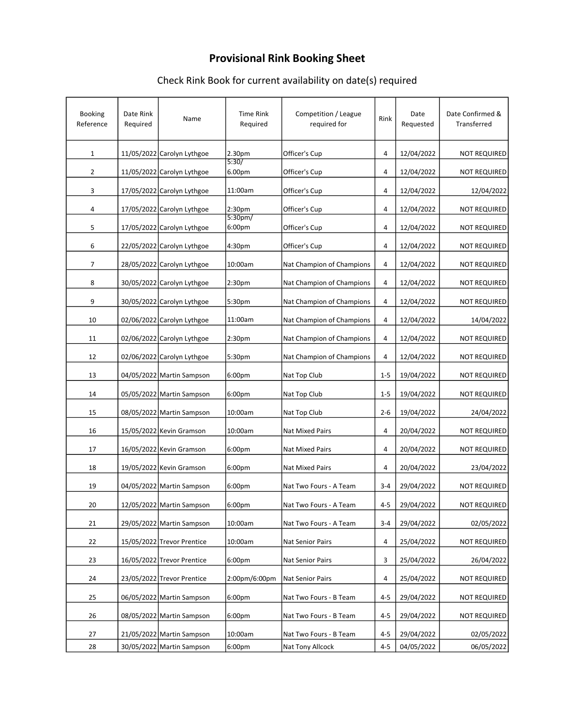## Provisional Rink Booking Sheet

### Check Rink Book for current availability on date(s) required

| Booking<br>Reference | Date Rink<br>Required | Name                       | <b>Time Rink</b><br>Required  | Competition / League<br>required for | Rink    | Date<br>Requested | Date Confirmed &<br>Transferred |
|----------------------|-----------------------|----------------------------|-------------------------------|--------------------------------------|---------|-------------------|---------------------------------|
| $\mathbf{1}$         |                       | 11/05/2022 Carolyn Lythgoe | 2.30pm                        | Officer's Cup                        | 4       | 12/04/2022        | <b>NOT REQUIRED</b>             |
| 2                    |                       | 11/05/2022 Carolyn Lythgoe | 5:30/<br>6.00pm               | Officer's Cup                        | 4       | 12/04/2022        | <b>NOT REQUIRED</b>             |
| 3                    |                       | 17/05/2022 Carolyn Lythgoe | 11:00am                       | Officer's Cup                        | 4       | 12/04/2022        | 12/04/2022                      |
| 4                    | 17/05/2022            | Carolyn Lythgoe            | 2:30 <sub>pm</sub>            | Officer's Cup                        | 4       | 12/04/2022        | <b>NOT REQUIRED</b>             |
| 5                    |                       | 17/05/2022 Carolyn Lythgoe | 5:30pm/<br>6:00 <sub>pm</sub> | Officer's Cup                        | 4       | 12/04/2022        | <b>NOT REQUIRED</b>             |
| 6                    |                       | 22/05/2022 Carolyn Lythgoe | 4:30pm                        | Officer's Cup                        | 4       | 12/04/2022        | <b>NOT REQUIRED</b>             |
| 7                    |                       | 28/05/2022 Carolyn Lythgoe | 10:00am                       | Nat Champion of Champions            | 4       | 12/04/2022        | <b>NOT REQUIRED</b>             |
| 8                    |                       | 30/05/2022 Carolyn Lythgoe | 2:30 <sub>pm</sub>            | Nat Champion of Champions            | 4       | 12/04/2022        | <b>NOT REQUIRED</b>             |
| 9                    |                       | 30/05/2022 Carolyn Lythgoe | 5:30pm                        | Nat Champion of Champions            | 4       | 12/04/2022        | <b>NOT REQUIRED</b>             |
| 10                   |                       | 02/06/2022 Carolyn Lythgoe | 11:00am                       | Nat Champion of Champions            | 4       | 12/04/2022        | 14/04/2022                      |
| 11                   |                       | 02/06/2022 Carolyn Lythgoe | 2:30 <sub>pm</sub>            | Nat Champion of Champions            | 4       | 12/04/2022        | <b>NOT REQUIRED</b>             |
| 12                   |                       | 02/06/2022 Carolyn Lythgoe | 5:30pm                        | Nat Champion of Champions            | 4       | 12/04/2022        | <b>NOT REQUIRED</b>             |
| 13                   |                       | 04/05/2022 Martin Sampson  | 6:00 <sub>pm</sub>            | Nat Top Club                         | $1-5$   | 19/04/2022        | <b>NOT REQUIRED</b>             |
| 14                   |                       | 05/05/2022 Martin Sampson  | 6:00pm                        | Nat Top Club                         | $1 - 5$ | 19/04/2022        | <b>NOT REQUIRED</b>             |
| 15                   |                       | 08/05/2022 Martin Sampson  | 10:00am                       | Nat Top Club                         | $2 - 6$ | 19/04/2022        | 24/04/2022                      |
| 16                   |                       | 15/05/2022 Kevin Gramson   | 10:00am                       | <b>Nat Mixed Pairs</b>               | 4       | 20/04/2022        | <b>NOT REQUIRED</b>             |
| 17                   |                       | 16/05/2022 Kevin Gramson   | 6:00pm                        | <b>Nat Mixed Pairs</b>               | 4       | 20/04/2022        | <b>NOT REQUIRED</b>             |
| 18                   |                       | 19/05/2022 Kevin Gramson   | 6:00pm                        | Nat Mixed Pairs                      | 4       | 20/04/2022        | 23/04/2022                      |
| 19                   |                       | 04/05/2022 Martin Sampson  | 6:00pm                        | Nat Two Fours - A Team               | $3 - 4$ | 29/04/2022        | <b>NOT REQUIRED</b>             |
| 20                   |                       | 12/05/2022 Martin Sampson  | 6:00pm                        | Nat Two Fours - A Team               | $4 - 5$ | 29/04/2022        | <b>NOT REQUIRED</b>             |
| 21                   |                       | 29/05/2022 Martin Sampson  | 10:00am                       | Nat Two Fours - A Team               | $3 - 4$ | 29/04/2022        | 02/05/2022                      |
| 22                   |                       | 15/05/2022 Trevor Prentice | 10:00am                       | Nat Senior Pairs                     | 4       | 25/04/2022        | <b>NOT REQUIRED</b>             |
| 23                   |                       | 16/05/2022 Trevor Prentice | 6:00pm                        | Nat Senior Pairs                     | 3       | 25/04/2022        | 26/04/2022                      |
| 24                   |                       | 23/05/2022 Trevor Prentice | 2:00pm/6:00pm                 | Nat Senior Pairs                     | 4       | 25/04/2022        | <b>NOT REQUIRED</b>             |
| 25                   |                       | 06/05/2022 Martin Sampson  | 6:00pm                        | Nat Two Fours - B Team               | $4 - 5$ | 29/04/2022        | <b>NOT REQUIRED</b>             |
| 26                   |                       | 08/05/2022 Martin Sampson  | 6:00pm                        | Nat Two Fours - B Team               | $4 - 5$ | 29/04/2022        | <b>NOT REQUIRED</b>             |
| 27                   |                       | 21/05/2022 Martin Sampson  | 10:00am                       | Nat Two Fours - B Team               | $4 - 5$ | 29/04/2022        | 02/05/2022                      |
| 28                   |                       | 30/05/2022 Martin Sampson  | 6:00pm                        | Nat Tony Allcock                     | $4 - 5$ | 04/05/2022        | 06/05/2022                      |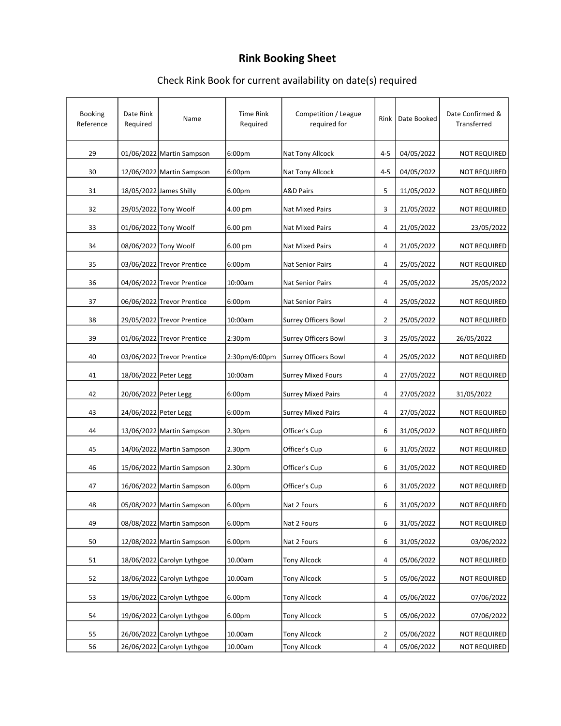# Rink Booking Sheet

### Check Rink Book for current availability on date(s) required

| <b>Booking</b><br>Reference | Date Rink<br>Required | Name                       | <b>Time Rink</b><br>Required | Competition / League<br>required for | Rink           | Date Booked | Date Confirmed &<br>Transferred |
|-----------------------------|-----------------------|----------------------------|------------------------------|--------------------------------------|----------------|-------------|---------------------------------|
| 29                          |                       | 01/06/2022 Martin Sampson  | 6:00 <sub>pm</sub>           | Nat Tony Allcock                     | $4 - 5$        | 04/05/2022  | <b>NOT REQUIRED</b>             |
| 30                          |                       | 12/06/2022 Martin Sampson  | 6:00 <sub>pm</sub>           | Nat Tony Allcock                     | $4 - 5$        | 04/05/2022  | <b>NOT REQUIRED</b>             |
| 31                          |                       | 18/05/2022 James Shilly    | 6.00pm                       | <b>A&amp;D Pairs</b>                 | 5              | 11/05/2022  | <b>NOT REQUIRED</b>             |
| 32                          |                       | 29/05/2022 Tony Woolf      | 4.00 pm                      | <b>Nat Mixed Pairs</b>               | 3              | 21/05/2022  | <b>NOT REQUIRED</b>             |
| 33                          |                       | 01/06/2022 Tony Woolf      | 6.00 pm                      | <b>Nat Mixed Pairs</b>               | 4              | 21/05/2022  | 23/05/2022                      |
| 34                          |                       | 08/06/2022 Tony Woolf      | 6.00 pm                      | Nat Mixed Pairs                      | 4              | 21/05/2022  | <b>NOT REQUIRED</b>             |
| 35                          |                       | 03/06/2022 Trevor Prentice | 6:00pm                       | <b>Nat Senior Pairs</b>              | 4              | 25/05/2022  | <b>NOT REQUIRED</b>             |
| 36                          |                       | 04/06/2022 Trevor Prentice | 10:00am                      | Nat Senior Pairs                     | 4              | 25/05/2022  | 25/05/2022                      |
| 37                          |                       | 06/06/2022 Trevor Prentice | 6:00pm                       | Nat Senior Pairs                     | 4              | 25/05/2022  | <b>NOT REQUIRED</b>             |
| 38                          |                       | 29/05/2022 Trevor Prentice | 10:00am                      | Surrey Officers Bowl                 | $\overline{2}$ | 25/05/2022  | <b>NOT REQUIRED</b>             |
| 39                          |                       | 01/06/2022 Trevor Prentice | 2:30 <sub>pm</sub>           | Surrey Officers Bowl                 | 3              | 25/05/2022  | 26/05/2022                      |
| 40                          |                       | 03/06/2022 Trevor Prentice | 2:30pm/6:00pm                | Surrey Officers Bowl                 | 4              | 25/05/2022  | <b>NOT REQUIRED</b>             |
| 41                          | 18/06/2022 Peter Legg |                            | 10:00am                      | <b>Surrey Mixed Fours</b>            | 4              | 27/05/2022  | <b>NOT REQUIRED</b>             |
| 42                          | 20/06/2022 Peter Legg |                            | 6:00pm                       | <b>Surrey Mixed Pairs</b>            | 4              | 27/05/2022  | 31/05/2022                      |
| 43                          | 24/06/2022 Peter Legg |                            | 6:00 <sub>pm</sub>           | <b>Surrey Mixed Pairs</b>            | 4              | 27/05/2022  | <b>NOT REQUIRED</b>             |
| 44                          |                       | 13/06/2022 Martin Sampson  | 2.30pm                       | Officer's Cup                        | 6              | 31/05/2022  | <b>NOT REQUIRED</b>             |
| 45                          |                       | 14/06/2022 Martin Sampson  | 2.30pm                       | Officer's Cup                        | 6              | 31/05/2022  | <b>NOT REQUIRED</b>             |
| 46                          |                       | 15/06/2022 Martin Sampson  | 2.30pm                       | Officer's Cup                        | 6              | 31/05/2022  | <b>NOT REQUIRED</b>             |
| 47                          |                       | 16/06/2022 Martin Sampson  | 6.00pm                       | Officer's Cup                        | 6              | 31/05/2022  | <b>NOT REQUIRED</b>             |
| 48                          |                       | 05/08/2022 Martin Sampson  | 6.00pm                       | Nat 2 Fours                          | 6              | 31/05/2022  | NOT REQUIRED                    |
| 49                          |                       | 08/08/2022 Martin Sampson  | 6.00pm                       | Nat 2 Fours                          | 6              | 31/05/2022  | <b>NOT REQUIRED</b>             |
|                             |                       |                            | 6.00pm                       |                                      | 6              |             | 03/06/2022                      |
| 50                          |                       | 12/08/2022 Martin Sampson  |                              | Nat 2 Fours                          |                | 31/05/2022  |                                 |
| 51                          |                       | 18/06/2022 Carolyn Lythgoe | 10.00am                      | <b>Tony Allcock</b>                  | 4              | 05/06/2022  | <b>NOT REQUIRED</b>             |
| 52                          |                       | 18/06/2022 Carolyn Lythgoe | 10.00am                      | <b>Tony Allcock</b>                  | 5              | 05/06/2022  | <b>NOT REQUIRED</b>             |
| 53                          |                       | 19/06/2022 Carolyn Lythgoe | 6.00pm                       | <b>Tony Allcock</b>                  | 4              | 05/06/2022  | 07/06/2022                      |
| 54                          |                       | 19/06/2022 Carolyn Lythgoe | 6.00pm                       | <b>Tony Allcock</b>                  | 5              | 05/06/2022  | 07/06/2022                      |
| 55                          |                       | 26/06/2022 Carolyn Lythgoe | 10.00am                      | <b>Tony Allcock</b>                  | $\overline{2}$ | 05/06/2022  | NOT REQUIRED                    |
| 56                          |                       | 26/06/2022 Carolyn Lythgoe | 10.00am                      | <b>Tony Allcock</b>                  | 4              | 05/06/2022  | <b>NOT REQUIRED</b>             |